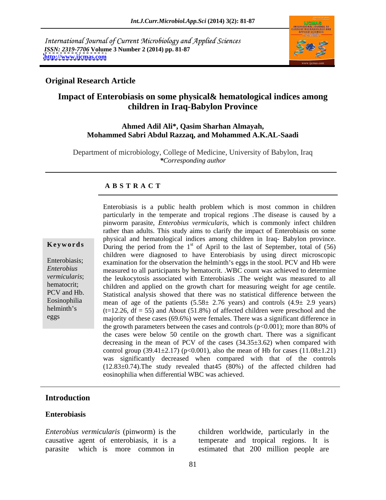International Journal of Current Microbiology and Applied Sciences *ISSN: 2319-7706* **Volume 3 Number 2 (2014) pp. 81-87 <http://www.ijcmas.com>**



### **Original Research Article**

## **Impact of Enterobiasis on some physical& hematological indices among children in Iraq-Babylon Province**

### **Ahmed Adil Ali\*, Qasim Sharhan Almayah, Mohammed Sabri Abdul Razzaq, and Mohammed A.K.AL-Saadi**

Department of microbiology, College of Medicine, University of Babylon, Iraq *\*Corresponding author*

### **A B S T R A C T**

**Keywords** During the period from the 1<sup>st</sup> of April to the last of September, total of  $(56)$ Enterobiasis; examination for the observation the helminth's eggs in the stool. PCV and Hb were *Enterobius* measured to all participants by hematocrit. .WBC count was achieved to determine *vermicularis*; the leukocytosis associated with Enterobiasis .The weight was measured to all hematocrit; children and applied on the growth chart for measuring weight for age centile. PCV and Hb. Statistical analysis showed that there was no statistical difference between the Eosinophilia mean of age of the patients  $(5.58 \pm 2.76$  years) and controls  $(4.9 \pm 2.9$  years) helminth's  $(t=12.26, df = 55)$  and About (51.8%) of affected children were preschool and the eggs majority of these cases (69.6%) were females. There was a significant difference in Enterobiasis is a public health problem which is most common in children particularly in the temperate and tropical regions .The disease is caused by a pinworm parasite, *Enterobius vermicularis*, which is commonly infect children rather than adults. This study aims to clarify the impact of Enterobiasis on some physical and hematological indices among children in Iraq- Babylon province. children were diagnosed to have Enterobiasis by using direct microscopic the growth parameters between the cases and controls  $(p<0.001)$ ; more than 80% of the cases were below 50 centile on the growth chart. There was a significant decreasing in the mean of PCV of the cases (34.35±3.62) when compared with control group (39.41 $\pm$ 2.17) (p<0.001), also the mean of Hb for cases (11.08 $\pm$ 1.21) was significantly decreased when compared with that of the controls (12.83±0.74).The study revealed that45 (80%) of the affected children had eosinophilia when differential WBC was achieved.

## **Introduction**

### **Enterobiasis**

*Enterobius vermicularis* (pinworm) is the children worldwide, particularly in the causative agent of enterobiasis, it is a temperate and tropical regions. It is parasite which is more common in estimated that 200 million people are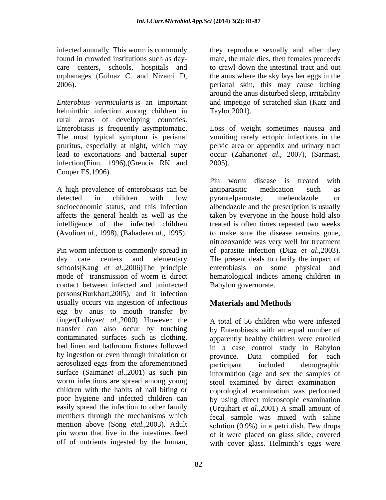infected annually. This worm is commonly they reproduce sexually and after they found in crowded institutions such as day- mate, the male dies, then females proceeds care centers, schools, hospitals and orphanages (Gülnaz C. and Nizami D, the anus where the sky lays her eggs in the 2006). perianal skin, this may cause itching

*Enterobius vermicularis* is an important and impetigo of scratched skin (Katz and helminthic infection among children in rural areas of developing countries. Enterobiasis is frequently asymptomatic. Loss of weight sometimes nausea and The most typical symptom is perianal vomiting rarely ectopic infections in the pruritus, especially at night, which may pelvic area or appendix and urinary tract lead to excoriations and bacterial super occur (Zaharion*et al*., 2007), (Sarmast, infection(Finn, 1996),(Grencis RK and Cooper ES,1996).

A high prevalence of enterobiasis can be antiparasitic medication such as

schools(Kang *et al*.,2006)The principle contact between infected and uninfected persons(Burkhart,2005), and it infection usually occurs via ingestion of infectious egg by anus to mouth transfer by finger(Lohiya*et al*.,2000) However the transfer can also occur by touching contaminated surfaces such as clothing, apparently healthy children were enrolled bed linen and bathroom fixtures followed in a case control study in Babylon by ingestion or even through inhalation or province. aerosolized eggs from the aforementioned participant included demographic surface (Saimanet al.,2001) as such pin information (age and sex the samples of worm infections are spread among young stool examined by direct examination children with the habits of nail biting or coprological examination was performed poor hygiene and infected children can by using direct microscopic examination easily spread the infection to other family (Urquhart *et al.*,2001) A small amount of members through the mechanisms which fecal sample was mixed with saline mention above (Song *etal.*,2003). Adult solution (0.9%) in a petri dish. Few drops pin worm that live in the intestines feed of it were placed on glass slide, covered

to crawl down the intestinal tract and out around the anus disturbed sleep, irritability Taylor,2001).

2005).

detected in children with low pyrantelpamoate, mebendazole or socioeconomic status, and this infection albendazole and the prescription is usually affects the general health as well as the taken by everyone in the household also intelligence of the infected children treated is often times repeated two weeks (Avolio*et al*., 1998), (Bahader*et al*., 1995). to make sure the disease remains gone, Pin worm infection is commonly spread in of parasite infection (Diaz *et al*.,2003). day care centers and elementary The present deals to clarify the impact of mode of transmission of worm is direct hematological indices among children in Pin worm disease is treated with antiparasitic medication such as pyrantelpamoate, mebendazole or nitrozoxanide was very well for treatment enterobiasis on some physical and Babylon governorate.

# **Materials and Methods**

off of nutrients ingested by the human, with cover glass. Helminth's eggs were A total of 56 children who were infested by Enterobiasis with an equal number of Data compiled for each participant included demographic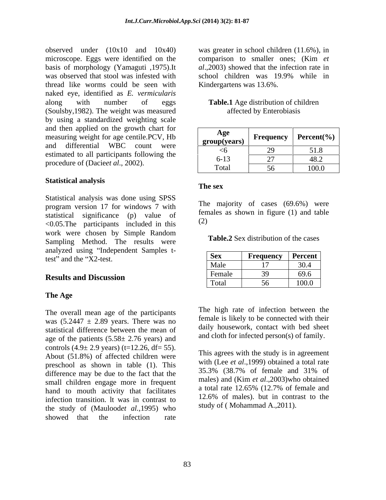observed under (10x10 and 10x40) was greater in school children (11.6%), in microscope. Eggs were identified on the comparison to smaller ones; (Kim et basis of morphology (Yamaguti ,1975).It was observed that stool was infested with school children was 19.9% while in thread like worms could be seen with naked eye, identified as *E. vermicularis* along with number of eggs **Table.1** Age distribution of children (Soulsby,1982). The weight was measured by using a standardized weighting scale and then applied on the growth chart for measuring weight for age centile.PCV, Hb estimated to all participants following the procedure of (Dacie*et al*., 2002).

### **Statistical analysis**

Statistical analysis was done using SPSS program version 17 for windows 7 with statistical significance (p) value of  $\frac{1}{2}$ <br>
(2) <0.05.The participants included in this work were chosen by Simple Random Sampling Method. The results were analyzed using "Independent Samples t-<br>test" and the "X2-test. test" and the "X2-test.  $Sex$  **requency Percent** 

### **The Age**

The overall mean age of the participants was  $(5.2447 \pm 2.89$  years. There was no statistical difference between the mean of age of the patients  $(5.58 \pm 2.76 \text{ years})$  and controls  $(4.9 \pm 2.9 \text{ years})$  (t=12.26, df= 55). About (51.8%) of affected children were preschool as shown in table (1). This with (Lee *et al.*, 1999) obtained a total rate<br>difference may be due to the feet that the 35.3% (38.7% of female and 31% of difference may be due to the fact that the small children engage more in frequent<br>hand to mouth activity that facilitates a total rate 12.65% (12.7% of female and hand to mouth activity that facilitates  $\frac{a \text{ total rate } 12.65\% \text{ (12.7\% of female and})}{12.6\% \text{ of males)}}$ infection transition. lt was in contrast to the study of (Maulood*et al.,*1995) who showed that the infection rate

comparison to smaller ones; (Kim *et al*.,2003) showed that the infection rate in school children was 19.9% while in Kindergartens was 13.6%.

# affected by Enterobiasis

| and then applied on the growth chart for        |              |           |                        |
|-------------------------------------------------|--------------|-----------|------------------------|
| measuring weight for age centile.PCV, Hb        | Age          | Frequency | <b>Percent</b> $(\% )$ |
| and differential<br><b>WBC</b><br>count<br>were | group(years) |           |                        |
| estimated to all participants following the     | <∪           |           | 51.8                   |
|                                                 | $6 - 13$     |           | 48.∠                   |
| procedure of (Dacieet al., 2002).               | Total        |           | 100.0                  |
|                                                 |              |           |                        |

### **The sex**

The majority of cases (69.6%) were females as shown in figure (1) and table (2)

**Table.2** Sex distribution of the cases

| anaryzeu using mucpenuem bampies e-<br>test" and the "X2-test. | <b>Sex</b>  | Frequency                | $\overline{\phantom{a}}$<br><b>Percent</b> |
|----------------------------------------------------------------|-------------|--------------------------|--------------------------------------------|
|                                                                | Male        | $\overline{\phantom{a}}$ | $\sim$ $\sim$ $\sim$<br>, , ,              |
| <b>Results and Discussion</b>                                  | Female      |                          | 69.6                                       |
|                                                                | __<br>Total |                          | 100L<br><b>100.0</b>                       |

The high rate of infection between the female is likely to be connected with their daily housework, contact with bed sheet and cloth for infected person(s) of family.

This agrees with the study is in agreement with (Lee *et al*.,1999) obtained a total rate 35.3% (38.7% of female and 31% of males) and (Kim *et al*.,2003)who obtained a total rate 12.65% (12.7% of female and 12.6% of males). but in contrast to the study of ( Mohammad A.,2011).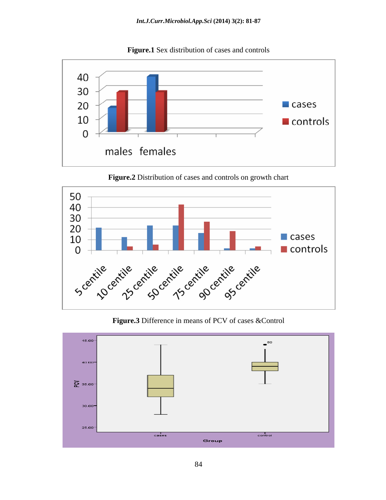

**Figure.1** Sex distribution of cases and controls

**Figure.2** Distribution of cases and controls on growth chart



**Figure.3** Difference in means of PCV of cases &Control

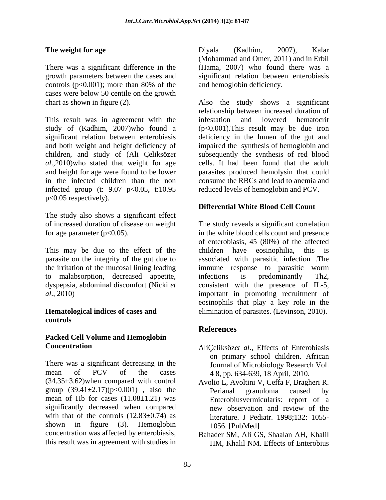There was a significant difference in the controls ( $p<0.001$ ); more than 80% of the and hemoglobin deficiency. cases were below 50 centile on the growth

This result was in agreement with the infestation and lowered hematocrit study of (Kadhim, 2007)who found a *al*.,2010)who stated that weight for age infected group (t: 9.07 p<0.05, t:10.95 p<0.05 respectively).

The study also shows a significant effect

parasite on the integrity of the gut due to to malabsorption, decreased appetite, infections is predominantly Th2,

# **controls**

# **Packed Cell Volume and Hemoglobin**

There was a significant decreasing in the Journal of Microbiology Research Vol. mean of PCV of the cases  $48$ , pp. 634-639, 18 April, 2010. (34.35±3.62)when compared with control Avolio L, Avoltini V, Ceffa F, Bragheri R. group  $(39.41 \pm 2.17)(p<0.001)$ , also the Perianal granuloma caused by mean of Hb for cases (11.08±1.21) was Enterobiusvermicularis: report of a significantly decreased when compared new observation and review of the with that of the controls  $(12.83\pm0.74)$  as shown in figure (3). Hemoglobin 1056. [PubMed] concentration was affected by enterobiasis, Bahader SM, Ali GS, Shaalan AH, Khalil this result was in agreement with studies in

**The weight for age Conserverse Example 2007**, **Conserverse Example 2007**), **Conserverse Example 2007**), **Conserverse Example 2007**), **Conserverse Example 2007** growth parameters between the cases and significant relation between enterobiasis Diyala (Kadhim, 2007), Kalar (Mohammad and Omer, 2011) and in Erbil (Hama, 2007) who found there was a and hemoglobin deficiency.

chart as shown in figure (2). Also the study shows a significant significant relation between enterobiasis deficiency in the lumen of the gut and and both weight and height deficiency of impaired the synthesis of hemoglobin and children, and study of (Ali Çeliksöz*et*  subsequently the synthesis of red blood and height for age were found to be lower parasites produced hemolysin that could in the infected children than the non consume the RBCs and lead to anemia and relationship between increased duration of infestation and lowered hematocrit (p<0.001).This result may be due iron cells. It had been found that the adult reduced levels of hemoglobin and PCV.

## **Differential White Blood Cell Count**

of increased duration of disease on weight The study reveals a significant correlation for age parameter (p<0.05).  $\qquad \qquad$  in the white blood cells count and presence This may be due to the effect of the children have eosinophilia, this is the irritation of the mucosal lining leading immuneresponse to parasitic worm dyspepsia, abdominal discomfort (Nicki *et*  consistent with the presence of IL-5, *al*., 2010) important in promoting recruitment of **Hematological indices of cases and**  elimination of parasites. (Levinson, 2010). of enterobiasis, 45 (80%) of the affected associated with parasitic infection .The infections is predominantly Th2, eosinophils that play a key role in the

# **References**

- **Concentration** AliÇeliksöz*et al*., Effects of Enterobiasis on primary school children. African 4 8, pp. 634-639, 18 April, 2010.
	- Perianal granuloma caused by new observation and review of the literature. J Pediatr. 1998;132: 1055- 1056. [PubMed]
	- HM, Khalil NM. Effects of Enterobius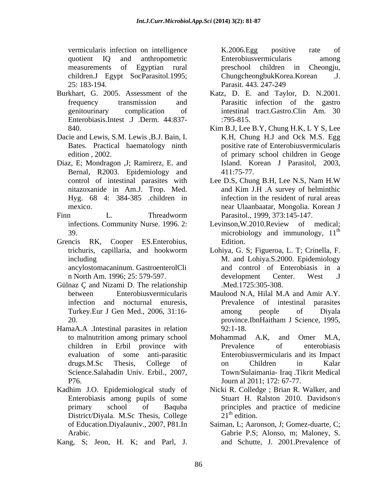vermicularis infection on intelligence K.2006.Egg positive rate of quotient IQ and anthropometric measurements of Egyptian rural children.J Egypt SocParasitol.1995; ChungcheongbukKorea.Korean .J. 25: 183-194. Parasit, 443, 247-249

- Enterobiasis.Intest .J .Derm. 44:837-
- Dacie and Lewis, S.M. Lewis ,B.J. Bain, I.
- Diaz, E; Mondragon ,J; Ramirerz, E. and Bernal, R2003. Epidemiology and 411:75-77. Hyg. 68 4: 384-385 .children in
- 
- Grencis RK, Cooper ES.Enterobius, ancylostomacaninum. GastroenterolCli
- Gülnaz Ç and Nizami D. The relationship
- HamaA.A .Intestinal parasites in relation P76. Journ al 2011; 172: 67-77. vention<br>16 inferion or inelligence K. TolonEgg positive rate of the same spaces<br>orient in the mathematic method of the same space of the same space of the<br>16 in the same space of the same space of the same space of the sam
- Kadhim J.O. Epidemiological study of Enterobiasis among pupils of some District/Diyala. M.Sc Thesis, College 21<sup>th</sup> edition.
- 

Enterobiusvermicularis among preschool children in Cheongju, ChungcheongbukKorea.Korean Parasit. 443. 247-249

- Burkhart, G. 2005. Assessment of the Katz, D. E. and Taylor, D. N.2001. frequency transmission and Parasitic infection of the gastro genitourinary complication of intestinal tract.Gastro.Clin Am. 30 :795-815.
	- 840. Kim B.J, Lee B.Y, Chung H.K, L Y S, Lee Bates. Practical haematology ninth positive rate of Enterobiusvermicularis edition , 2002. of primary school children in Geoge K.H, Chung H.J and Ock M.S. Egg Island. Korean J Parasitol, 2003, 411:75-77.
- control of intestinal parasites with Lee D.S, Chung B.H, Lee N.S, Nam H.W nitazoxanide in Am.J. Trop. Med. mexico. near Ulaanbaatar, Mongolia. Korean J Finn L. Threadworm Parasitol., 1999, 373:145-147. Lee D.S, Chung B.H, Lee N.S, Nam H.W and Kim J.H .A survey of helminthic infection in the resident of rural areas Parasitol., 1999, 373:145-147.
	- infections. Community Nurse. 1996. 2: Levinson,W.2010.Review of medical; 39.  $\blacksquare$  microbiology and immunology,  $11^{\text{th}}$ the contract of the contract of the contract of the contract of the contract of the contract of the contract of the contract of the contract of the contract of the contract of the contract of the contract of the contract o Edition.
	- trichuris, capillaria, and hookworm Lohiya, G. S; Figueroa, L. T; Crinella, F. including M. and Lohiya.S.2000. Epidemiology n North Am. 1996; 25: 579-597. and control of Enterobiasis in a development Center. West .J .Med.1725:305-308.
	- between Enterobiusvermicularis Maulood N.A, Hilal M.A and Amir A.Y. infection and nocturnal enuresis, Prevalence of intestinal parasites Turkey.Eur J Gen Med., 2006, 31:16- 20. **20. Example 20. CONSERVING 20. CONSERVING 20. CONSERVING 20. CONSERVING 20. CONSERVING 20. CONSERVING 20. CONSERVING 20. CONSERVING 20. CONSERVING 20. CONSERVING 20. CONSERVING 20. CONSERVING** among people of Diyala province.IbnHaitham J Science, 1995, 92:1-18.
	- to malnutrition among primary school Mohammad A.K, and Omer M.A, children in Erbil province with Prevalence of enterobiasis evaluation of some anti-parasitic Enterobiusvermicularis and its Impact drugs.M.Sc Thesis, College of Science.Salahadin Univ. Erbil., 2007, Town/Sulaimania- Iraq .Tikrit Medical Mohammad A.K, and Omer M.A, Prevalence of enterobiasis on Children in Kalar
	- primary school of Baquba principles and practice of medicine Nicki R. Colledge ; Brian R. Walker, and Stuart H. Ralston 2010. Davidson's  $\mathbf{s}$  $21<sup>th</sup>$  edition.
	- of Education.Diyalauniv., 2007, P81.In Saiman, L; Aaronson, J; Gomez-duarte, C; Arabic. Gabrie P.S; Alonso, m; Maloney, S. and Schutte, J. 2001.Prevalence of